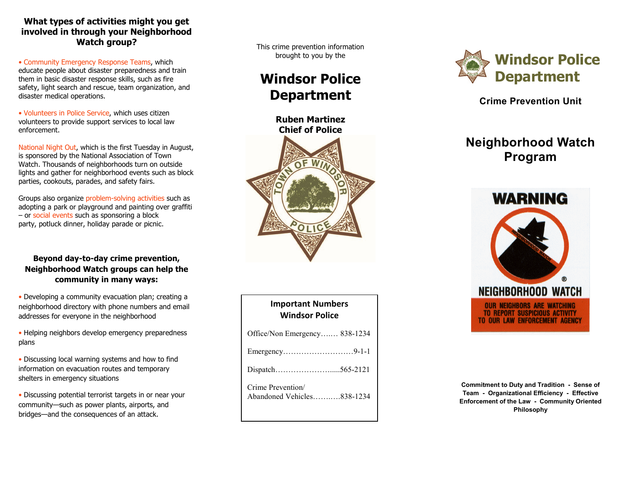# **What types of activities might you get involved in through your Neighborhood Watch group?**

• Community Emergency Response Teams, which educate people about disaster preparedness and train them in basic disaster response skills, such as fire safety, light search and rescue, team organization, and disaster medical operations.

• Volunteers in Police Service, which uses citizen volunteers to provide support services to local law enforcement.

National Night Out, which is the first Tuesday in August, is sponsored by the National Association of Town Watch. Thousands of neighborhoods turn on outside lights and gather for neighborhood events such as block parties, cookouts, parades, and safety fairs.

Groups also organize problem-solving activities such as adopting a park or playground and painting over graffiti – or social events such as sponsoring a block party, potluck dinner, holiday parade or picnic.

# **Beyond day-to-day crime prevention, Neighborhood Watch groups can help the community in many ways:**

- Developing a community evacuation plan; creating a neighborhood directory with phone numbers and email addresses for everyone in the neighborhood
- Helping neighbors develop emergency preparedness plans
- Discussing local warning systems and how to find information on evacuation routes and temporary shelters in emergency situations
- Discussing potential terrorist targets in or near your community—such as power plants, airports, and bridges—and the consequences of an attack.

This crime prevention information brought to you by the

# **Windsor Police Department**



| <b>Important Numbers</b><br>Windsor Police      |
|-------------------------------------------------|
| Office/Non Emergency 838-1234                   |
|                                                 |
|                                                 |
| Crime Prevention/<br>Abandoned Vehicles838-1234 |



**Crime Prevention Unit**

# **Neighborhood Watch Program**



**Commitment to Duty and Tradition - Sense of Team - Organizational Efficiency - Effective Enforcement of the Law - Community Oriented Philosophy**